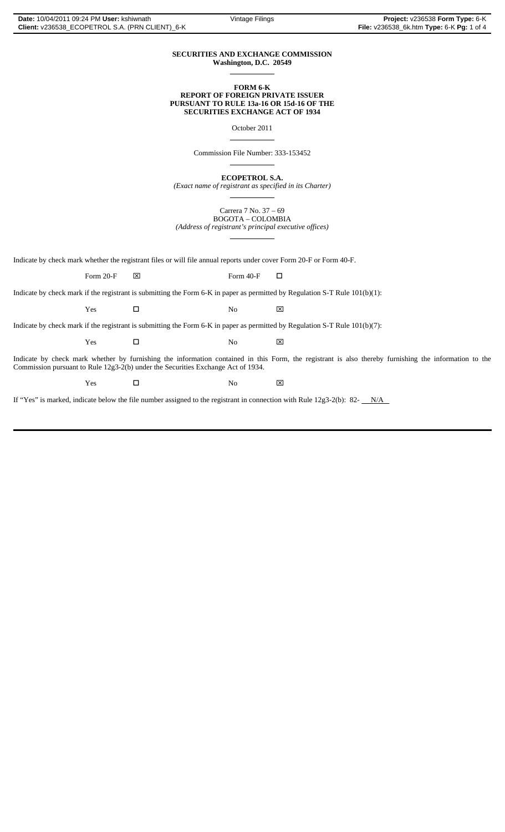## **SECURITIES AND EXCHANGE COMMISSION Washington, D.C. 20549**  $\overline{a}$

**FORM 6-K REPORT OF FOREIGN PRIVATE ISSUER PURSUANT TO RULE 13a-16 OR 15d-16 OF THE SECURITIES EXCHANGE ACT OF 1934**

October 2011

Commission File Number: 333-153452

 $\overline{a}$ 

 $\overline{a}$ 

 $\overline{a}$ 

 $\overline{a}$ 

**ECOPETROL S.A.**

*(Exact name of registrant as specified in its Charter)*

Carrera 7 No. 37 – 69 BOGOTA – COLOMBIA *(Address of registrant's principal executive offices)*

Indicate by check mark whether the registrant files or will file annual reports under cover Form 20-F or Form 40-F.

Form 20-F  $\boxtimes$  Form 40-F  $\Box$ 

Indicate by check mark if the registrant is submitting the Form 6-K in paper as permitted by Regulation S-T Rule 101(b)(1):

 $Yes$   $\Box$  No  $\boxtimes$ 

Indicate by check mark if the registrant is submitting the Form 6-K in paper as permitted by Regulation S-T Rule 101(b)(7):

 $Yes$   $\Box$  No  $\boxtimes$ 

Indicate by check mark whether by furnishing the information contained in this Form, the registrant is also thereby furnishing the information to the Commission pursuant to Rule 12g3-2(b) under the Securities Exchange Act of 1934.

 $Yes$   $\Box$  No  $\boxtimes$ 

If "Yes" is marked, indicate below the file number assigned to the registrant in connection with Rule 12g3-2(b): 82- $N/A$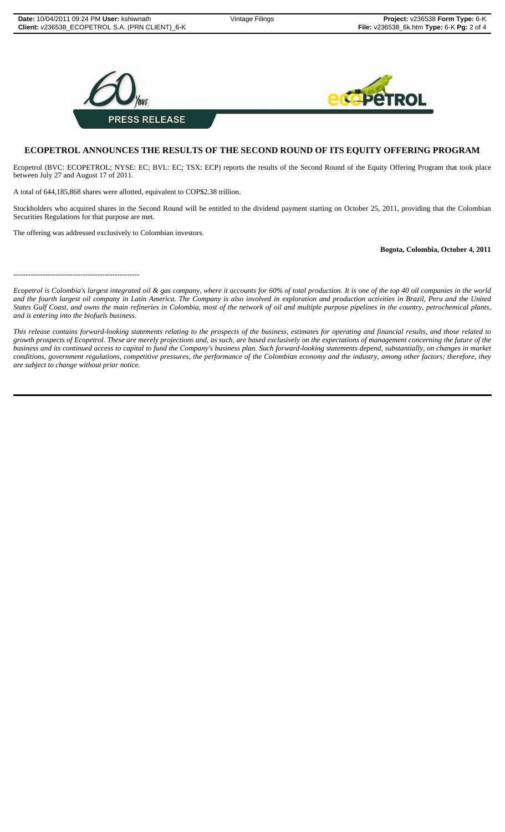

## **ECOPETROL ANNOUNCES THE RESULTS OF THE SECOND ROUND OF ITS EQUITY OFFERING PROGRAM**

Ecopetrol (BVC: ECOPETROL; NYSE: EC; BVL: EC; TSX: ECP) reports the results of the Second Round of the Equity Offering Program that took place between July 27 and August 17 of 2011.

A total of 644,185,868 shares were allotted, equivalent to COP\$2.38 trillion.

Stockholders who acquired shares in the Second Round will be entitled to the dividend payment starting on October 25, 2011, providing that the Colombian Securities Regulations for that purpose are met.

The offering was addressed exclusively to Colombian investors.

## **Bogota, Colombia, October 4, 2011**

---------------------------------------------------

*Ecopetrol is Colombia's largest integrated oil & gas company, where it accounts for 60% of total production. It is one of the top 40 oil companies in the world and the fourth largest oil company in Latin America. The Company is also involved in exploration and production activities in Brazil, Peru and the United States Gulf Coast, and owns the main refineries in Colombia, most of the network of oil and multiple purpose pipelines in the country, petrochemical plants, and is entering into the biofuels business.*

*This release contains forward-looking statements relating to the prospects of the business, estimates for operating and financial results, and those related to growth prospects of Ecopetrol. These are merely projections and, as such, are based exclusively on the expectations of management concerning the future of the business and its continued access to capital to fund the Company's business plan. Such forward-looking statements depend, substantially, on changes in market conditions, government regulations, competitive pressures, the performance of the Colombian economy and the industry, among other factors; therefore, they are subject to change without prior notice.*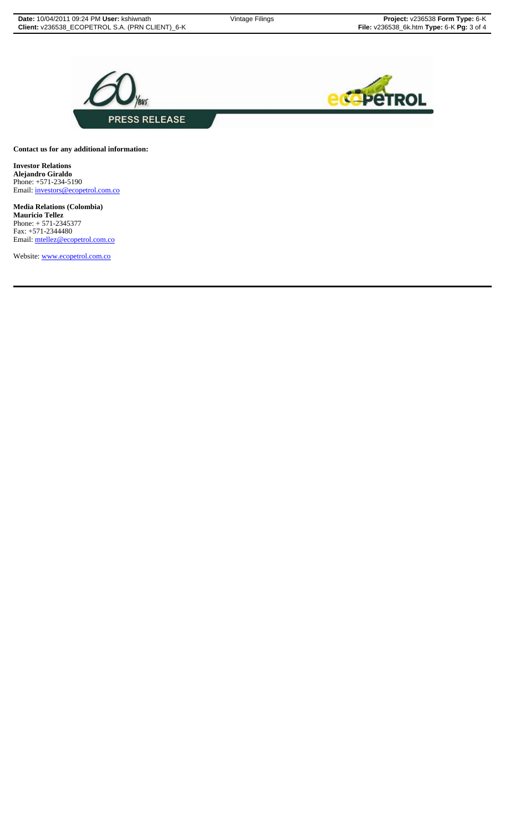



**Contact us for any additional information:**

**Investor Relations Alejandro Giraldo** Phone: +571-234-5190 Email: investors@ecopetrol.com.co

**Media Relations (Colombia) Mauricio Tellez** Phone: + 571-2345377 Fax: +571-2344480 Email: mtellez@ecopetrol.com.co

Website: www.ecopetrol.com.co